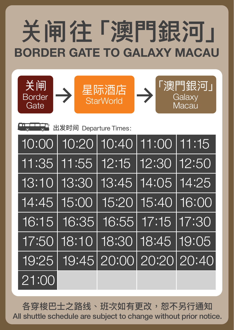# **BORDER GATE TO GALAXY MACAU** 䎔**闸往「澳門銀河」**

**DICTLET** 出发时间 Departure Times: 10:00 10:20 10:40 11:00 11:15 11:35 11:55 12:15 12:30 12:50 13:10 13:30 13:45 14:05 14:25



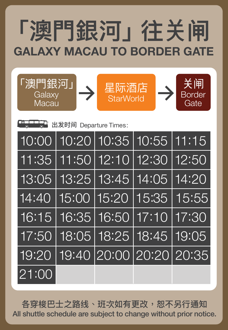# **GALAXY MACAU TO BORDER GATE**  「澳門銀河」往关闸

|       |  |                               | $10:00$ 10:20 10:35 10:55 11:15       |
|-------|--|-------------------------------|---------------------------------------|
|       |  | 11:35 11:50 12:10 12:30 12:50 |                                       |
|       |  |                               | 13:05   13:25   13:45   14:05   14:20 |
|       |  |                               | 14:40 15:00 15:20 15:35 15:55         |
|       |  |                               | 16:15   16:35   16:50   17:10   17:30 |
|       |  |                               | $17:50$ 18:05 18:25 18:45 19:05       |
|       |  |                               | 19:20   19:40   20:00   20:20   20:35 |
| 21:00 |  |                               |                                       |



**BLIDET** 出发时间 Departure Times: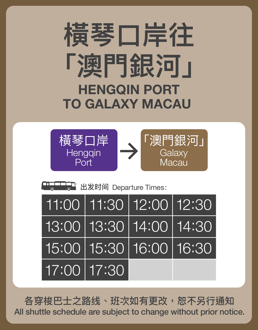### 11:00 11:30 12:00 12:30





**TIMETTERT** 出发时间 Departure Times:

## **HENGQIN PORT TO GALAXY MACAU 橫琴口岸往 「澳門銀河」**